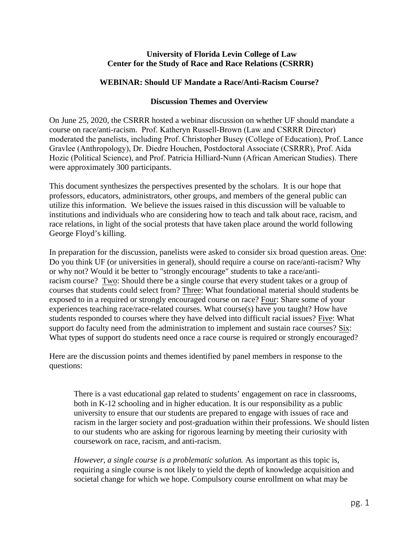## **University of Florida Levin College of Law Center for the Study of Race and Race Relations (CSRRR)**

# **WEBINAR: Should UF Mandate a Race/Anti-Racism Course?**

## **Discussion Themes and Overview**

On June 25, 2020, the CSRRR hosted a webinar discussion on whether UF should mandate a course on race/anti-racism. Prof. Katheryn Russell-Brown (Law and CSRRR Director) moderated the panelists, including Prof. Christopher Busey (College of Education), Prof. Lance Gravlee (Anthropology), Dr. Diedre Houchen, Postdoctoral Associate (CSRRR), Prof. Aida Hozic (Political Science), and Prof. Patricia Hilliard-Nunn (African American Studies). There were approximately 300 participants.

This document synthesizes the perspectives presented by the scholars. It is our hope that professors, educators, administrators, other groups, and members of the general public can utilize this information. We believe the issues raised in this discussion will be valuable to institutions and individuals who are considering how to teach and talk about race, racism, and race relations, in light of the social protests that have taken place around the world following George Floyd's killing.

In preparation for the discussion, panelists were asked to consider six broad question areas. One: Do you think UF (or universities in general), should require a course on race/anti-racism? Why or why not? Would it be better to "strongly encourage" students to take a race/antiracism course? Two: Should there be a single course that every student takes or a group of courses that students could select from? Three: What foundational material should students be exposed to in a required or strongly encouraged course on race? Four: Share some of your experiences teaching race/race-related courses. What course(s) have you taught? How have students responded to courses where they have delved into difficult racial issues? Five: What support do faculty need from the administration to implement and sustain race courses? Six: What types of support do students need once a race course is required or strongly encouraged?

Here are the discussion points and themes identified by panel members in response to the questions:

There is a vast educational gap related to students' engagement on race in classrooms, both in K-12 schooling and in higher education. It is our responsibility as a public university to ensure that our students are prepared to engage with issues of race and racism in the larger society and post-graduation within their professions. We should listen to our students who are asking for rigorous learning by meeting their curiosity with coursework on race, racism, and anti-racism.

*However, a single course is a problematic solution.* As important as this topic is, requiring a single course is not likely to yield the depth of knowledge acquisition and societal change for which we hope. Compulsory course enrollment on what may be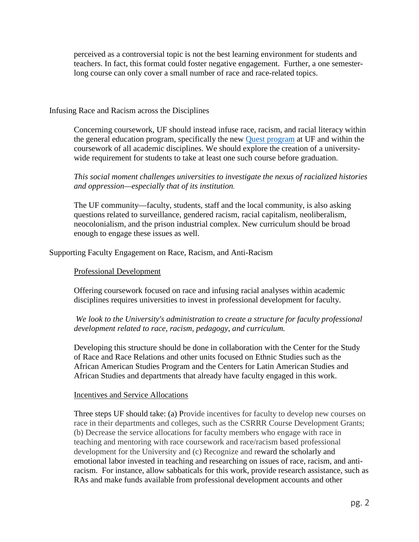perceived as a controversial topic is not the best learning environment for students and teachers. In fact, this format could foster negative engagement. Further, a one semesterlong course can only cover a small number of race and race-related topics.

Infusing Race and Racism across the Disciplines

Concerning coursework, UF should instead infuse race, racism, and racial literacy within the general education program, specifically the new [Quest program](http://undergrad.aa.ufl.edu/uf-quest/) at UF and within the coursework of all academic disciplines. We should explore the creation of a universitywide requirement for students to take at least one such course before graduation.

*This social moment challenges universities to investigate the nexus of racialized histories and oppression—especially that of its institution.*

The UF community—faculty, students, staff and the local community, is also asking questions related to surveillance, gendered racism, racial capitalism, neoliberalism, neocolonialism, and the prison industrial complex. New curriculum should be broad enough to engage these issues as well.

Supporting Faculty Engagement on Race, Racism, and Anti-Racism

#### Professional Development

Offering coursework focused on race and infusing racial analyses within academic disciplines requires universities to invest in professional development for faculty.

# *We look to the University's administration to create a structure for faculty professional development related to race, racism, pedagogy, and curriculum.*

Developing this structure should be done in collaboration with the Center for the Study of Race and Race Relations and other units focused on Ethnic Studies such as the African American Studies Program and the Centers for Latin American Studies and African Studies and departments that already have faculty engaged in this work.

#### Incentives and Service Allocations

Three steps UF should take: (a) Provide incentives for faculty to develop new courses on race in their departments and colleges, such as the CSRRR Course Development Grants; (b) Decrease the service allocations for faculty members who engage with race in teaching and mentoring with race coursework and race/racism based professional development for the University and (c) Recognize and reward the scholarly and emotional labor invested in teaching and researching on issues of race, racism, and antiracism. For instance, allow sabbaticals for this work, provide research assistance, such as RAs and make funds available from professional development accounts and other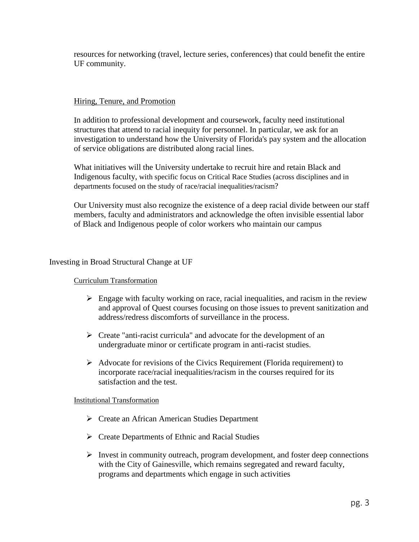resources for networking (travel, lecture series, conferences) that could benefit the entire UF community.

## Hiring, Tenure, and Promotion

In addition to professional development and coursework, faculty need institutional structures that attend to racial inequity for personnel. In particular, we ask for an investigation to understand how the University of Florida's pay system and the allocation of service obligations are distributed along racial lines.

What initiatives will the University undertake to recruit hire and retain Black and Indigenous faculty, with specific focus on Critical Race Studies (across disciplines and in departments focused on the study of race/racial inequalities/racism?

Our University must also recognize the existence of a deep racial divide between our staff members, faculty and administrators and acknowledge the often invisible essential labor of Black and Indigenous people of color workers who maintain our campus

### Investing in Broad Structural Change at UF

#### Curriculum Transformation

- $\triangleright$  Engage with faculty working on race, racial inequalities, and racism in the review and approval of Quest courses focusing on those issues to prevent sanitization and address/redress discomforts of surveillance in the process.
- $\triangleright$  Create "anti-racist curricula" and advocate for the development of an undergraduate minor or certificate program in anti-racist studies.
- $\triangleright$  Advocate for revisions of the Civics Requirement (Florida requirement) to incorporate race/racial inequalities/racism in the courses required for its satisfaction and the test.

#### Institutional Transformation

- Create an African American Studies Department
- Create Departments of Ethnic and Racial Studies
- $\triangleright$  Invest in community outreach, program development, and foster deep connections with the City of Gainesville, which remains segregated and reward faculty, programs and departments which engage in such activities